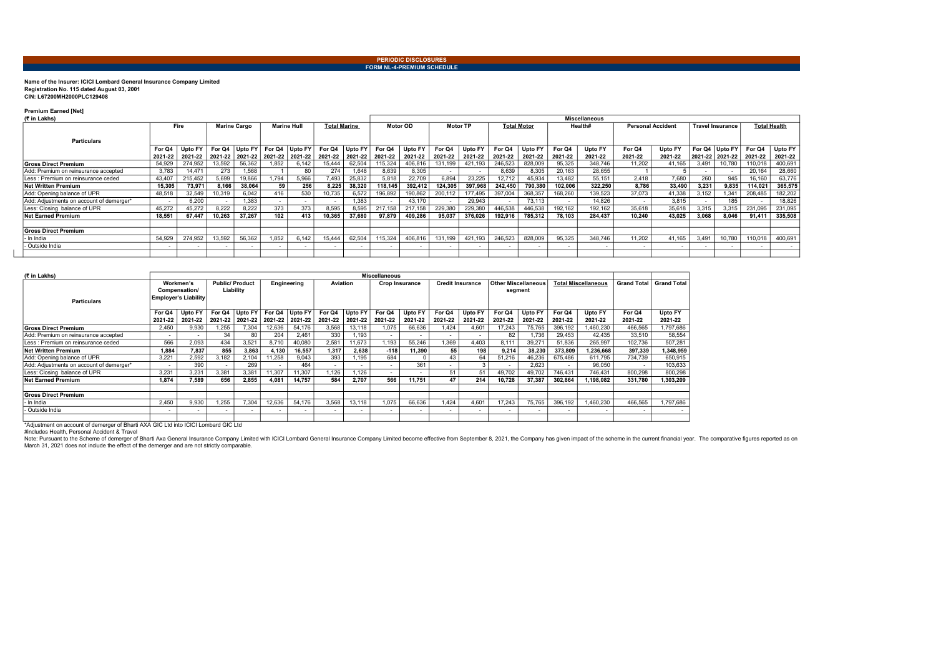# Name of the Insurer: ICICI Lombard General Insurance Company Limited

Registration No. 115 dated August 03, 2001 CIN: L67200MH2000PLC129408

### Premium Earned [Net]

| (₹ in Lakhs)                             |         |         |                     |         |                    |                |                     |         |          | <b>Miscellaneous</b> |                 |                          |                    |                |         |                          |                          |         |                         |                |                     |         |  |
|------------------------------------------|---------|---------|---------------------|---------|--------------------|----------------|---------------------|---------|----------|----------------------|-----------------|--------------------------|--------------------|----------------|---------|--------------------------|--------------------------|---------|-------------------------|----------------|---------------------|---------|--|
|                                          | Fire    |         | <b>Marine Cargo</b> |         | <b>Marine Hull</b> |                | <b>Total Marine</b> |         | Motor OD |                      | <b>Motor TP</b> |                          | <b>Total Motor</b> |                | Health# |                          | <b>Personal Accident</b> |         | <b>Travel Insurance</b> |                | <b>Total Health</b> |         |  |
| <b>Particulars</b>                       |         |         |                     |         |                    |                |                     |         |          |                      |                 |                          |                    |                |         |                          |                          |         |                         |                |                     |         |  |
|                                          | For Q4  | Upto FY | For Q4              | Upto FY |                    | For Q4 Upto FY | For Q4              | Upto FY | For Q4   | Upto FY              | For Q4          | <b>Upto FY</b>           | For Q4             | <b>Upto FY</b> | For Q4  | Upto FY                  | For Q4                   | Upto FY |                         | For Q4 Upto FY | For Q4              | Upto FY |  |
|                                          | 2021-22 | 2021-22 | 2021-22             | 2021-22 | 2021-22            | 2021-22        | 2021-22             | 2021-22 | 2021-22  | 2021-22              | 2021-22         | 2021-22                  | 2021-22            | 2021-22        | 2021-22 | 2021-22                  | 2021-22                  | 2021-22 | 2021-22                 | 2021-22        | 2021-22             | 2021-22 |  |
| <b>Gross Direct Premium</b>              | 54,929  | 274,952 | 13,592              | 56,362  | 1.852              | 6.142          | 15,444              | 62,504  | 115,324  | 406,816              | 131,199         | 421,193                  | 246,523            | 828,009        | 95,325  | 348,746                  | 11,202                   | 41,165  | 3,491                   | 10,780         | 110,018             | 400,691 |  |
| Add: Premium on reinsurance accepted     | 3,783   | 14,471  | 273                 | 1,568   |                    | 80             | 274                 | 1.648   | 8,639    | 8.305                |                 | $\overline{\phantom{0}}$ | 8.639              | 8.305          | 20,163  | 28,655                   |                          |         |                         |                | 20,164              | 28,660  |  |
| Less: Premium on reinsurance ceded       | 43,407  | 215,452 | 5.699               | 19,866  | 1.794              | 5.966          | 7,493               | 25,832  | 5,818    | 22,709               | 6.894           | 23,225                   | 12.712             | 45,934         | 13.482  | 55,151                   | 2.418                    | 7,680   | 260                     | 945            | 16,160              | 63,776  |  |
| Net Written Premium                      | 15,305  | 73,971  | 8,166               | 38,064  | 59                 | 256            | 8,225               | 38,320  | 118,145  | 392,412              | 124,305         | 397,968                  | 242,450            | 790,380        | 102,006 | 322,250                  | 8,786                    | 33,490  | 3,231                   | 9,835          | 114,021             | 365,575 |  |
| Add: Opening balance of UPR              | 48,518  | 32,549  | 10,319              | 6,042   | 416                | 530            | 10,735              | 6.572   | 196,892  | 190,862              | 200,112         | 177,495                  | 397,004            | 368,357        | 168,260 | 139,523                  | 37,073                   | 41,338  | 3.152                   | 1,341          | 208,485             | 182,202 |  |
| Add: Adjustments on account of demerger* |         | 6.200   |                     | 1.383   |                    |                |                     | 1.383   |          | 43,170               |                 | 29,943                   |                    | 73,113         |         | 14.826                   |                          | 3.815   |                         | 185            |                     | 18,826  |  |
| Less: Closing balance of UPR             | 45,272  | 45,272  | 8.222               | 8.222   | 373                | 373            | 8.595               | 8.595   | 217,158  | 217.158              | 229,380         | 229,380                  | 446.538            | 446,538        | 192.162 | 192.162                  | 35,618                   | 35,618  | 3.315                   | 3.315          | 231,095             | 231,095 |  |
| Net Earned Premium                       | 18,551  | 67,447  | 10.263              | 37,267  | 102                | 413            | 10,365              | 37,680  | 97,879   | 409,286              | 95.037          | 376,026                  | 192,916            | 785,312        | 78,103  | 284,437                  | 10,240                   | 43,025  | 3.068                   | 8.046          | 91.411              | 335,508 |  |
|                                          |         |         |                     |         |                    |                |                     |         |          |                      |                 |                          |                    |                |         |                          |                          |         |                         |                |                     |         |  |
| Gross Direct Premium                     |         |         |                     |         |                    |                |                     |         |          |                      |                 |                          |                    |                |         |                          |                          |         |                         |                |                     |         |  |
| - In India                               | 54,929  | 274,952 | 13.592              | 56,362  | 1.852              | 6,142          | 15,444              | 62,504  | 115,324  | 406,816              | 131,199         | 421,193                  | 246,523            | 828,009        | 95,325  | 348,746                  | 11,202                   | 41,165  | 3,491                   | 10.780         | 110,018             | 400,691 |  |
| - Outside India                          |         |         |                     |         |                    |                |                     |         |          |                      |                 |                          |                    |                |         | $\overline{\phantom{a}}$ |                          |         |                         |                |                     |         |  |
|                                          |         |         |                     |         |                    |                |                     |         |          |                      |                 |                          |                    |                |         |                          |                          |         |                         |                |                     |         |  |

Note: Pursuant to the Scheme of demerger of Bharti Axa General Insurance Company Limited with ICICI Lombard General Insurance Company Limited become effective from September 8, 2021, the Company has given impact of the sch March 31, 2021 does not include the effect of the demerger and are not strictly comparable.

| (₹ in Lakhs)                             |                                                    |                          |                                    |                    |                   |                           |                          |                          | <b>Miscellaneous</b>     |                           |                         |                          |                                       |                    |                            |                    |                          |                    |
|------------------------------------------|----------------------------------------------------|--------------------------|------------------------------------|--------------------|-------------------|---------------------------|--------------------------|--------------------------|--------------------------|---------------------------|-------------------------|--------------------------|---------------------------------------|--------------------|----------------------------|--------------------|--------------------------|--------------------|
| <b>Particulars</b>                       | Workmen's<br>Compensation/<br>Employer's Liability |                          | <b>Public/Product</b><br>Liability |                    | Engineering       |                           | Aviation                 |                          | <b>Crop Insurance</b>    |                           | <b>Credit Insurance</b> |                          | <b>Other Miscellaneous</b><br>segment |                    | <b>Total Miscellaneous</b> |                    | <b>Grand Total</b>       | <b>Grand Total</b> |
|                                          | For Q4<br>2021-22                                  | Upto FY<br>2021-22       | For Q4<br>2021-22                  | Upto FY<br>2021-22 | For Q4<br>2021-22 | <b>Upto FY</b><br>2021-22 | For Q4<br>2021-22        | Upto FY<br>2021-22       | For Q4<br>2021-22        | <b>Upto FY</b><br>2021-22 | For Q4<br>2021-22       | Upto FY<br>2021-22       | For Q4<br>2021-22                     | Upto FY<br>2021-22 | For Q4<br>2021-22          | Upto FY<br>2021-22 | For Q4<br>2021-22        | Upto FY<br>2021-22 |
| <b>Gross Direct Premium</b>              | 2.450                                              | 9.930                    | 1,255                              | 7,304              | 12,636            | 54,176                    | 3,568                    | 13,118                   | 1.075                    | 66,636                    | 1.424                   | 4.601                    | 17,243                                | 75,765             | 396,192                    | 1,460,230          | 466.565                  | ,797,686           |
| Add: Premium on reinsurance accepted     | $\overline{\phantom{0}}$                           | $\overline{\phantom{a}}$ | 34                                 | 80                 | 204               | 2.461                     | 330                      | 1.193                    | $\sim$                   | $\overline{\phantom{0}}$  | $\sim$                  | $\sim$                   | 82                                    | 1.736              | 29,453                     | 42.435             | 33,510                   | 58,554             |
| Less : Premium on reinsurance ceded      | 566                                                | 2,093                    | 434                                | 3,521              | 8,710             | 40,080                    | 2,581                    | 11,673                   | 1.193                    | 55,246                    | 1,369                   | 4.403                    | 8.111                                 | 39,271             | 51,836                     | 265,997            | 102.736                  | 507,281            |
| Net Written Premium                      | 1,884                                              | 7,837                    | 855                                | 3,863              | 4,130             | 16,557                    | 1,317                    | 2,638                    | $-118$                   | 11,390                    | 55                      | 198                      | 9,214                                 | 38,230             | 373,809                    | 1,236,668          | 397,339                  | ,348,959           |
| Add: Opening balance of UPR              | 3.221                                              | 2,592                    | 3,182                              | 2,104              | 11,258            | 9.043                     | 393                      | 1,195                    | 684                      |                           | 43                      | 64                       | 51,216                                | 46,236             | 675.486                    | 611.795            | 734.739                  | 650,915            |
| Add: Adjustments on account of demerger* | $\overline{\phantom{a}}$                           | 390                      |                                    | 269                |                   | 464                       | $\blacksquare$           |                          | $\sim$                   | 361                       | $\sim$                  | 3                        | $\overline{\phantom{a}}$              | 2,623              |                            | 96,050             |                          | 103,633            |
| Less: Closing balance of UPR             | 3.231                                              | 3,231                    | 3,381                              | 3,381              | 11,307            | 11,307                    | 1.126                    | .126                     | $\sim$                   | $\overline{\phantom{0}}$  | 51                      | 51                       | 49,702                                | 49,702             | 746,431                    | 746.431            | 800,298                  | 800,298            |
| <b>Net Earned Premium</b>                | 1.874                                              | 7,589                    | 656                                | 2,855              | 4.081             | 14,757                    | 584                      | 2.707                    | 566                      | 11.751                    | 47                      | 214                      | 10.728                                | 37,387             | 302.864                    | 1.198.082          | 331.780                  | ,303,209           |
| <b>Gross Direct Premium</b>              |                                                    |                          |                                    |                    |                   |                           |                          |                          |                          |                           |                         |                          |                                       |                    |                            |                    |                          |                    |
| - In India                               | 2.450                                              | 9.930                    | .255                               | 7,304              | 12,636            | 54,176                    | 3,568                    | 13,118                   | 1.075                    | 66,636                    | 1.424                   | 4.601                    | 17,243                                | 75,765             | 396,192                    | 1,460,230          | 466.565                  | 1,797,686          |
| - Outside India                          | $\overline{\phantom{a}}$                           |                          |                                    |                    |                   |                           | $\overline{\phantom{a}}$ | $\overline{\phantom{a}}$ | $\overline{\phantom{a}}$ | $\overline{\phantom{0}}$  |                         | $\overline{\phantom{a}}$ | $\overline{\phantom{a}}$              |                    |                            |                    | $\overline{\phantom{0}}$ |                    |

\*Adjustment on account of demerger of Bharti AXA GIC Ltd into ICICI Lombard GIC Ltd

#includes Health, Personal Accident & Travel

#### PERIODIC DISCLOSURES FORM NL-4-PREMIUM SCHEDULE